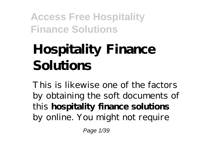# **Hospitality Finance Solutions**

This is likewise one of the factors by obtaining the soft documents of this **hospitality finance solutions** by online. You might not require

Page 1/39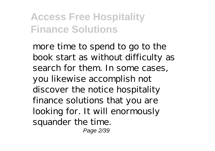more time to spend to go to the book start as without difficulty as search for them. In some cases, you likewise accomplish not discover the notice hospitality finance solutions that you are looking for. It will enormously squander the time. Page 2/39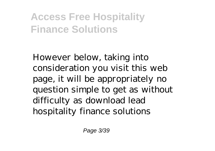However below, taking into consideration you visit this web page, it will be appropriately no question simple to get as without difficulty as download lead hospitality finance solutions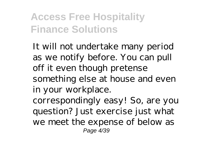It will not undertake many period as we notify before. You can pull off it even though pretense something else at house and even in your workplace.

correspondingly easy! So, are you question? Just exercise just what we meet the expense of below as Page 4/39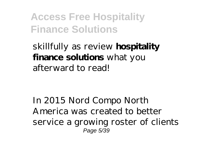skillfully as review **hospitality finance solutions** what you afterward to read!

In 2015 Nord Compo North America was created to better service a growing roster of clients Page 5/39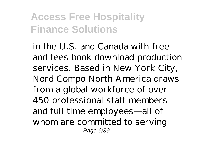in the U.S. and Canada with free and fees book download production services. Based in New York City, Nord Compo North America draws from a global workforce of over 450 professional staff members and full time employees—all of whom are committed to serving Page 6/39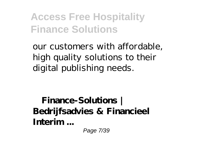our customers with affordable, high quality solutions to their digital publishing needs.

**Finance-Solutions | Bedrijfsadvies & Financieel Interim ...**

Page 7/39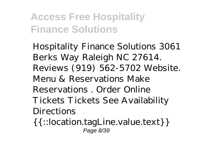Hospitality Finance Solutions 3061 Berks Way Raleigh NC 27614. Reviews (919) 562-5702 Website. Menu & Reservations Make Reservations . Order Online Tickets Tickets See Availability Directions

{{::location.tagLine.value.text}} Page 8/39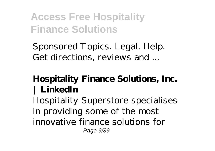Sponsored Topics. Legal. Help. Get directions, reviews and ...

#### **Hospitality Finance Solutions, Inc. | LinkedIn**

Hospitality Superstore specialises in providing some of the most innovative finance solutions for Page 9/39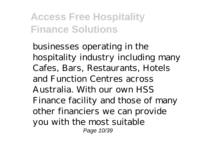businesses operating in the hospitality industry including many Cafes, Bars, Restaurants, Hotels and Function Centres across Australia. With our own HSS Finance facility and those of many other financiers we can provide you with the most suitable Page 10/39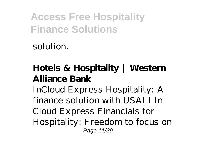solution.

#### **Hotels & Hospitality | Western Alliance Bank**

InCloud Express Hospitality: A finance solution with USALI In Cloud Express Financials for Hospitality: Freedom to focus on Page 11/39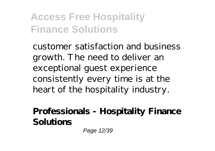customer satisfaction and business growth. The need to deliver an exceptional guest experience consistently every time is at the heart of the hospitality industry.

#### **Professionals - Hospitality Finance Solutions**

Page 12/39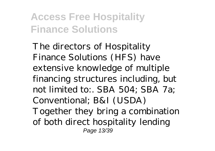The directors of Hospitality Finance Solutions (HFS) have extensive knowledge of multiple financing structures including, but not limited to:. SBA 504; SBA 7a; Conventional; B&I (USDA) Together they bring a combination of both direct hospitality lending Page 13/39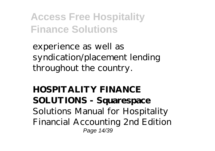experience as well as syndication/placement lending throughout the country.

**HOSPITALITY FINANCE SOLUTIONS - Squarespace** Solutions Manual for Hospitality Financial Accounting 2nd Edition Page 14/39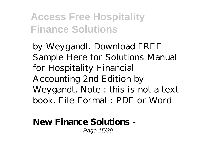by Weygandt. Download FREE Sample Here for Solutions Manual for Hospitality Financial Accounting 2nd Edition by Weygandt. Note : this is not a text book. File Format : PDF or Word

#### **New Finance Solutions -** Page 15/39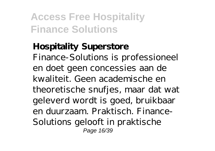#### **Hospitality Superstore** Finance-Solutions is professioneel en doet geen concessies aan de kwaliteit. Geen academische en theoretische snufjes, maar dat wat geleverd wordt is goed, bruikbaar en duurzaam. Praktisch. Finance-Solutions gelooft in praktische Page 16/39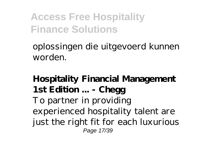oplossingen die uitgevoerd kunnen worden.

**Hospitality Financial Management 1st Edition ... - Chegg** To partner in providing experienced hospitality talent are just the right fit for each luxurious Page 17/39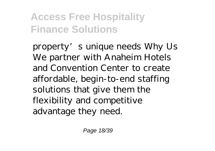property's unique needs Why Us We partner with Anaheim Hotels and Convention Center to create affordable, begin-to-end staffing solutions that give them the flexibility and competitive advantage they need.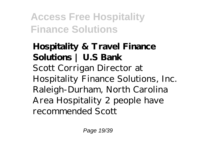**Hospitality & Travel Finance Solutions | U.S Bank** Scott Corrigan Director at Hospitality Finance Solutions, Inc. Raleigh-Durham, North Carolina Area Hospitality 2 people have recommended Scott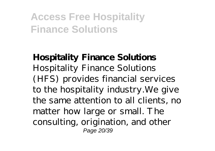**Hospitality Finance Solutions** Hospitality Finance Solutions (HFS) provides financial services to the hospitality industry.We give the same attention to all clients, no matter how large or small. The consulting, origination, and other Page 20/39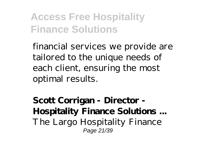financial services we provide are tailored to the unique needs of each client, ensuring the most optimal results.

**Scott Corrigan - Director - Hospitality Finance Solutions ...** The Largo Hospitality Finance Page 21/39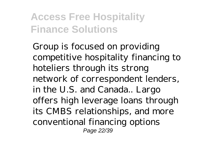Group is focused on providing competitive hospitality financing to hoteliers through its strong network of correspondent lenders, in the U.S. and Canada.. Largo offers high leverage loans through its CMBS relationships, and more conventional financing options Page 22/39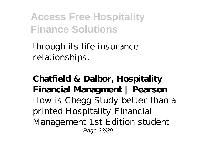through its life insurance relationships.

**Chatfield & Dalbor, Hospitality Financial Managment | Pearson** How is Chegg Study better than a printed Hospitality Financial Management 1st Edition student Page 23/39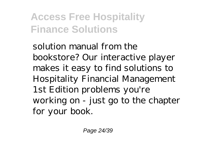solution manual from the bookstore? Our interactive player makes it easy to find solutions to Hospitality Financial Management 1st Edition problems you're working on - just go to the chapter for your book.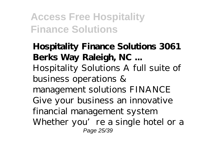**Hospitality Finance Solutions 3061 Berks Way Raleigh, NC ...** Hospitality Solutions A full suite of business operations & management solutions FINANCE Give your business an innovative financial management system Whether you're a single hotel or a Page 25/39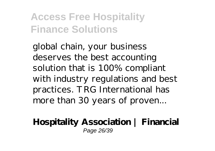global chain, your business deserves the best accounting solution that is 100% compliant with industry regulations and best practices. TRG International has more than 30 years of proven...

**Hospitality Association | Financial** Page 26/39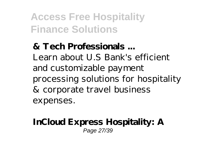**& Tech Professionals ...** Learn about U.S Bank's efficient and customizable payment processing solutions for hospitality & corporate travel business expenses.

#### **InCloud Express Hospitality: A** Page 27/39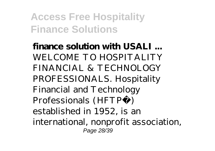**finance solution with USALI ...** WELCOME TO HOSPITALITY FINANCIAL & TECHNOLOGY PROFESSIONALS. Hospitality Financial and Technology Professionals (HFTP®) established in 1952, is an international, nonprofit association, Page 28/39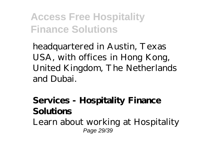headquartered in Austin, Texas USA, with offices in Hong Kong, United Kingdom, The Netherlands and Dubai.

**Services - Hospitality Finance Solutions** Learn about working at Hospitality Page 29/39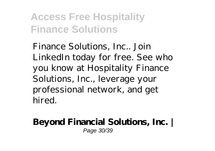Finance Solutions, Inc.. Join LinkedIn today for free. See who you know at Hospitality Finance Solutions, Inc., leverage your professional network, and get hired.

#### **Beyond Financial Solutions, Inc. |** Page 30/39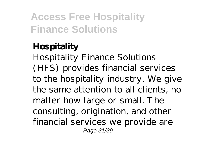#### **Hospitality** Hospitality Finance Solutions (HFS) provides financial services to the hospitality industry. We give the same attention to all clients, no matter how large or small. The consulting, origination, and other financial services we provide are Page 31/39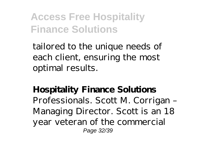tailored to the unique needs of each client, ensuring the most optimal results.

**Hospitality Finance Solutions** Professionals. Scott M. Corrigan – Managing Director. Scott is an 18 year veteran of the commercial Page 32/39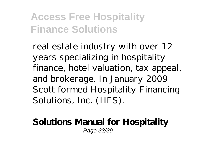real estate industry with over 12 years specializing in hospitality finance, hotel valuation, tax appeal, and brokerage. In January 2009 Scott formed Hospitality Financing Solutions, Inc. (HFS).

#### **Solutions Manual for Hospitality** Page 33/39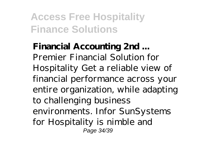**Financial Accounting 2nd ...** Premier Financial Solution for Hospitality Get a reliable view of financial performance across your entire organization, while adapting to challenging business environments. Infor SunSystems for Hospitality is nimble and Page 34/39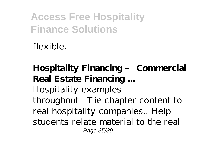flexible.

**Hospitality Financing – Commercial Real Estate Financing ...** Hospitality examples throughout—Tie chapter content to real hospitality companies.. Help students relate material to the real Page 35/39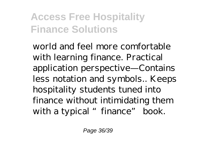world and feel more comfortable with learning finance. Practical application perspective—Contains less notation and symbols.. Keeps hospitality students tuned into finance without intimidating them with a typical "finance" book.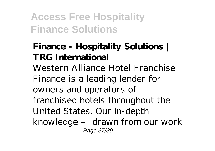#### **Finance - Hospitality Solutions | TRG International**

Western Alliance Hotel Franchise Finance is a leading lender for owners and operators of franchised hotels throughout the United States. Our in-depth knowledge – drawn from our work Page 37/39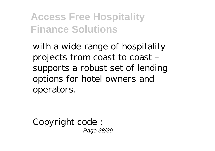with a wide range of hospitality projects from coast to coast – supports a robust set of lending options for hotel owners and operators.

Copyright code : Page 38/39